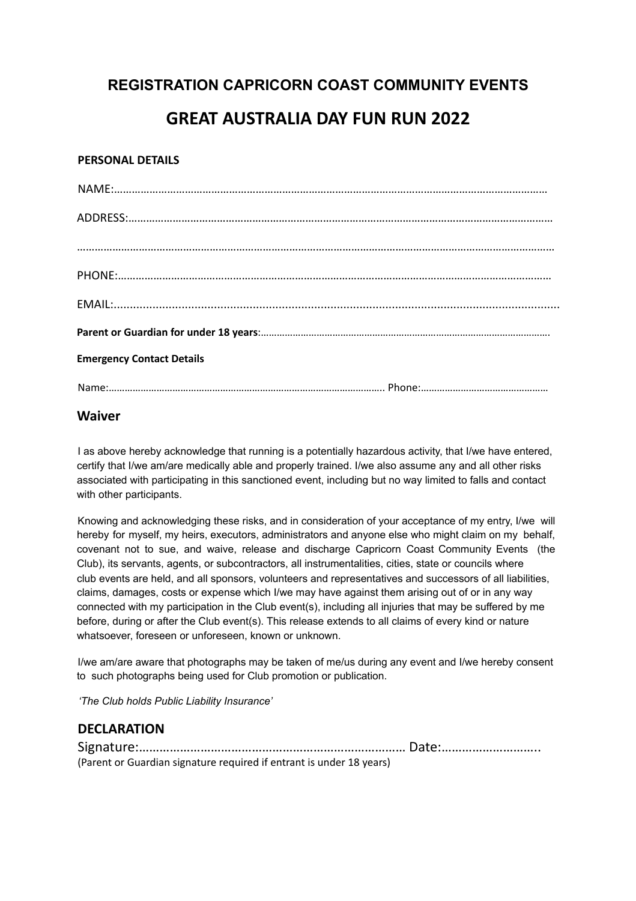### **REGISTRATION CAPRICORN COAST COMMUNITY EVENTS**

# **GREAT AUSTRALIA DAY FUN RUN 2022**

#### **PERSONAL DETAILS**

| <b>Emergency Contact Details</b> |  |
|----------------------------------|--|
|                                  |  |

### **Waiver**

I as above hereby acknowledge that running is a potentially hazardous activity, that I/we have entered, certify that I/we am/are medically able and properly trained. I/we also assume any and all other risks associated with participating in this sanctioned event, including but no way limited to falls and contact with other participants.

Knowing and acknowledging these risks, and in consideration of your acceptance of my entry, I/we will hereby for myself, my heirs, executors, administrators and anyone else who might claim on my behalf, covenant not to sue, and waive, release and discharge Capricorn Coast Community Events (the Club), its servants, agents, or subcontractors, all instrumentalities, cities, state or councils where club events are held, and all sponsors, volunteers and representatives and successors of all liabilities, claims, damages, costs or expense which I/we may have against them arising out of or in any way connected with my participation in the Club event(s), including all injuries that may be suffered by me before, during or after the Club event(s). This release extends to all claims of every kind or nature whatsoever, foreseen or unforeseen, known or unknown.

I/we am/are aware that photographs may be taken of me/us during any event and I/we hereby consent to such photographs being used for Club promotion or publication.

*'The Club holds Public Liability Insurance'*

### **DECLARATION**

| (Parent or Guardian signature required if entrant is under 18 years) |  |
|----------------------------------------------------------------------|--|